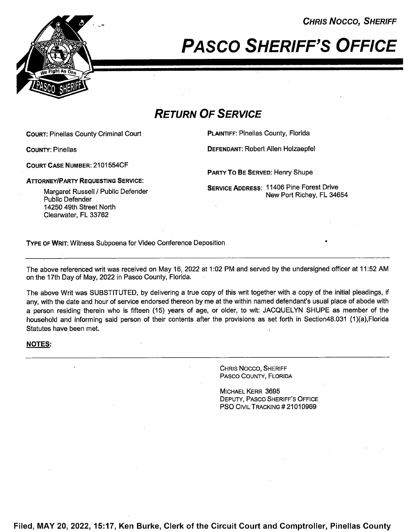CHRIS Nocco, SHERIFF



PASCO SHERIFF'S OFFICE

## RETURN OF SERVICE

COURT: Pinellas County Criminal Court **PLAINTIFF: Pinellas County, Florida** 

COUNTY: Pinellas DEFENDANT: Robert Allen Holzaepfel

COURT CASE NUMBER: 21 01 554CF

**ATTORNEY/PARTY REQUESTING SERVICE:** 

SERVICE ADDRESS: 11406 Pine Forest Drive New Port Richey, FL 34654

PARTY To BE SERVED: Henry Shupe

Margaret Russell / Public Defender Public Defender 14250 49th Street North Clearwater, FL 33762

TYPE OF WRIT: Witness Subpoena for Video Conference Deposition '

The above referenced writ was received on May 16, <sup>2022</sup> at 1:02 PM and served by the undersigned officer at 11:52 AM on the 17th Day of May, 2022 in Pasco County, Florida.

The above Writ was SUBSTITUTED, by delivering a true copy of this writ together with a copy of the initial pleadings, if any, with the date and hour of service endorsed thereon by me at the within named defendant's usual place of abode with a person residing therein who is fifteen (15) years of age, or older, to wit: JACQUELYN SHUPE as member of the household and informing said person of their contents after the provisions as set forth in Section48.031 (1)(a),FIorida Statutes have been met.

## NOTES:

CHRIS Nocco, SHERIFF PAsco COUNTY, FLORIDA

MICHAEL KERR 3695 DEPUTY, PAsco SHERIFF'S OFFICE PSO CIVIL TRACKING #21010969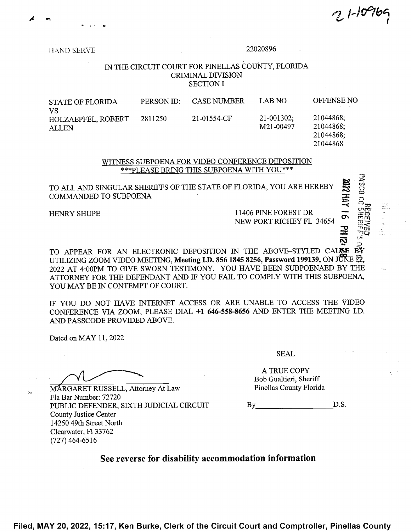$1 - 10 - 76$ 

HAND SERVE

## 22020896

## IN THE CIRCUIT COURT FOR PINELLAS COUNTY, FLORIDA **CRIMINAL DIVISION SECTION I**

| <b>STATE OF FLORIDA</b><br>VS             | PERSON ID: | <b>CASE NUMBER</b> | LAB NO                    | <b>OFFENSE NC</b>                   |
|-------------------------------------------|------------|--------------------|---------------------------|-------------------------------------|
| <b>HOLZAEPFEL, ROBERT</b><br><b>ALLEN</b> | 2811250    | 21-01554-CF        | $21-001302;$<br>M21-00497 | 21044868;<br>21044868;<br>21044868; |
|                                           |            |                    |                           | 21044868                            |

WITNESS SUBPOENA FOR VIDEO CONFERENCE DEPOSITION \*\*\* PLEASE BRING THIS SUBPOENA WITH YOU\*\*\*

TO ALL AND SINGULAR SHERIFFS OF THE STATE OF FLORIDA, YOU ARE HEREBY **COMMANDED TO SUBPOENA** 

HENRY SHUPE

11406 PINE FOREST DR NEW PORT RICHEY FL 34654

TO APPEAR FOR AN ELECTRONIC DEPOSITION IN THE ABOVE-STYLED CAUSE BY UTILIZING ZOOM VIDEO MEETING, Meeting I.D. 856 1845 8256, Password 199139, ON JUNE 22, 2022 AT 4:00PM TO GIVE SWORN TESTIMONY. YOU HAVE BEEN SUBPOENAED BY THE ATTORNEY FOR THE DEFENDANT AND IF YOU FAIL TO COMPLY WITH THIS SUBPOENA. YOU MAY BE IN CONTEMPT OF COURT.

IF YOU DO NOT HAVE INTERNET ACCESS OR ARE UNABLE TO ACCESS THE VIDEO CONFERENCE VIA ZOOM, PLEASE DIAL +1 646-558-8656 AND ENTER THE MEETING I.D. AND PASSCODE PROVIDED ABOVE.

Dated on MAY 11, 2022

MARGARET RUSSELL, Attorney At Law Fla Bar Number: 72720 PUBLIC DEFENDER, SIXTH JUDICIAL CIRCUIT County Justice Center 14250 49th Street North Clearwater, Fl 33762  $(727)$  464-6516

**SEAL** 

A TRUE COPY Bob Gualtieri, Sheriff Pinellas County Florida

D.S. By the same state of the state of the state of the state of the state of the state of the state of the state of the state of the state of the state of the state of the state of the state of the state of the state of the st

See reverse for disability accommodation information

Filed, MAY 20, 2022, 15:17, Ken Burke, Clerk of the Circuit Court and Comptroller, Pinellas County